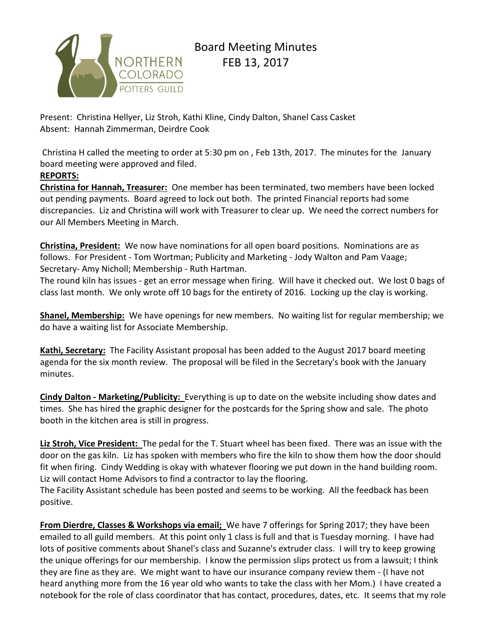

# Board Meeting Minutes FEB 13, 2017

Present: Christina Hellyer, Liz Stroh, Kathi Kline, Cindy Dalton, Shanel Cass Casket Absent: Hannah Zimmerman, Deirdre Cook

Christina H called the meeting to order at 5:30 pm on , Feb 13th, 2017. The minutes for the January board meeting were approved and filed.

#### **REPORTS:**

**Christina for Hannah, Treasurer:** One member has been terminated, two members have been locked out pending payments. Board agreed to lock out both. The printed Financial reports had some discrepancies. Liz and Christina will work with Treasurer to clear up. We need the correct numbers for our All Members Meeting in March.

**Christina, President:** We now have nominations for all open board positions. Nominations are as follows. For President - Tom Wortman; Publicity and Marketing - Jody Walton and Pam Vaage; Secretary- Amy Nicholl; Membership - Ruth Hartman.

The round kiln has issues - get an error message when firing. Will have it checked out. We lost 0 bags of class last month. We only wrote off 10 bags for the entirety of 2016. Locking up the clay is working.

**Shanel, Membership:** We have openings for new members. No waiting list for regular membership; we do have a waiting list for Associate Membership.

**Kathi, Secretary:** The Facility Assistant proposal has been added to the August 2017 board meeting agenda for the six month review. The proposal will be filed in the Secretary's book with the January minutes.

**Cindy Dalton - Marketing/Publicity:** Everything is up to date on the website including show dates and times. She has hired the graphic designer for the postcards for the Spring show and sale. The photo booth in the kitchen area is still in progress.

**Liz Stroh, Vice President:** The pedal for the T. Stuart wheel has been fixed. There was an issue with the door on the gas kiln. Liz has spoken with members who fire the kiln to show them how the door should fit when firing. Cindy Wedding is okay with whatever flooring we put down in the hand building room. Liz will contact Home Advisors to find a contractor to lay the flooring.

The Facility Assistant schedule has been posted and seems to be working. All the feedback has been positive.

**From Dierdre, Classes & Workshops via email;** We have 7 offerings for Spring 2017; they have been emailed to all guild members. At this point only 1 class is full and that is Tuesday morning. I have had lots of positive comments about Shanel's class and Suzanne's extruder class. I will try to keep growing the unique offerings for our membership. I know the permission slips protect us from a lawsuit; I think they are fine as they are. We might want to have our insurance company review them - (I have not heard anything more from the 16 year old who wants to take the class with her Mom.) I have created a notebook for the role of class coordinator that has contact, procedures, dates, etc. It seems that my role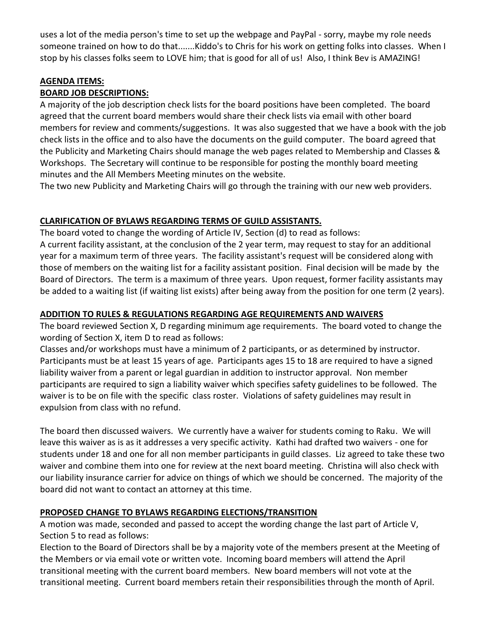uses a lot of the media person's time to set up the webpage and PayPal - sorry, maybe my role needs someone trained on how to do that.......Kiddo's to Chris for his work on getting folks into classes. When I stop by his classes folks seem to LOVE him; that is good for all of us! Also, I think Bev is AMAZING!

#### **AGENDA ITEMS:**

### **BOARD JOB DESCRIPTIONS:**

A majority of the job description check lists for the board positions have been completed. The board agreed that the current board members would share their check lists via email with other board members for review and comments/suggestions. It was also suggested that we have a book with the job check lists in the office and to also have the documents on the guild computer. The board agreed that the Publicity and Marketing Chairs should manage the web pages related to Membership and Classes & Workshops. The Secretary will continue to be responsible for posting the monthly board meeting minutes and the All Members Meeting minutes on the website.

The two new Publicity and Marketing Chairs will go through the training with our new web providers.

# **CLARIFICATION OF BYLAWS REGARDING TERMS OF GUILD ASSISTANTS.**

The board voted to change the wording of Article IV, Section (d) to read as follows: A current facility assistant, at the conclusion of the 2 year term, may request to stay for an additional year for a maximum term of three years. The facility assistant's request will be considered along with those of members on the waiting list for a facility assistant position. Final decision will be made by the Board of Directors. The term is a maximum of three years. Upon request, former facility assistants may be added to a waiting list (if waiting list exists) after being away from the position for one term (2 years).

# **ADDITION TO RULES & REGULATIONS REGARDING AGE REQUIREMENTS AND WAIVERS**

The board reviewed Section X, D regarding minimum age requirements. The board voted to change the wording of Section X, item D to read as follows:

Classes and/or workshops must have a minimum of 2 participants, or as determined by instructor. Participants must be at least 15 years of age. Participants ages 15 to 18 are required to have a signed liability waiver from a parent or legal guardian in addition to instructor approval. Non member participants are required to sign a liability waiver which specifies safety guidelines to be followed. The waiver is to be on file with the specific class roster. Violations of safety guidelines may result in expulsion from class with no refund.

The board then discussed waivers. We currently have a waiver for students coming to Raku. We will leave this waiver as is as it addresses a very specific activity. Kathi had drafted two waivers - one for students under 18 and one for all non member participants in guild classes. Liz agreed to take these two waiver and combine them into one for review at the next board meeting. Christina will also check with our liability insurance carrier for advice on things of which we should be concerned. The majority of the board did not want to contact an attorney at this time.

# **PROPOSED CHANGE TO BYLAWS REGARDING ELECTIONS/TRANSITION**

A motion was made, seconded and passed to accept the wording change the last part of Article V, Section 5 to read as follows:

Election to the Board of Directors shall be by a majority vote of the members present at the Meeting of the Members or via email vote or written vote. Incoming board members will attend the April transitional meeting with the current board members. New board members will not vote at the transitional meeting. Current board members retain their responsibilities through the month of April.